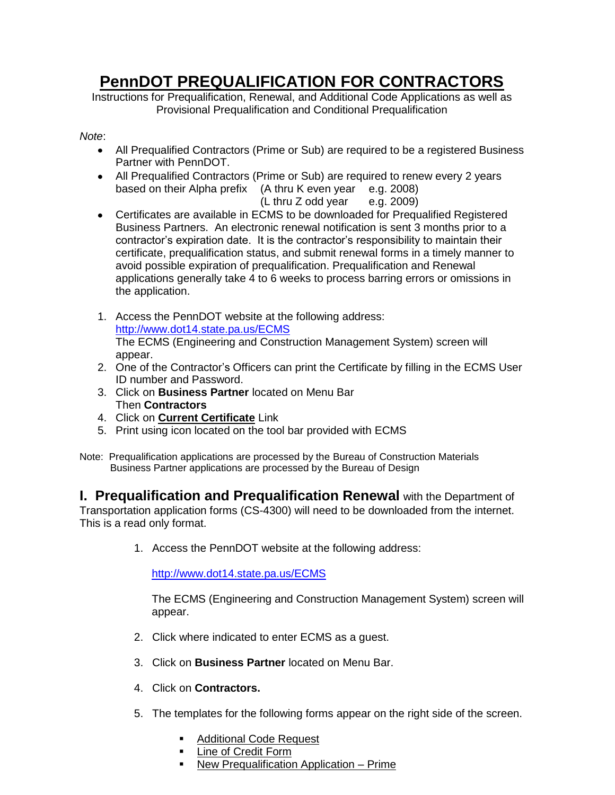## **PennDOT PREQUALIFICATION FOR CONTRACTORS**

Instructions for Prequalification, Renewal, and Additional Code Applications as well as Provisional Prequalification and Conditional Prequalification

## *Note*:

- All Prequalified Contractors (Prime or Sub) are required to be a registered Business Partner with PennDOT.
- All Prequalified Contractors (Prime or Sub) are required to renew every 2 years based on their Alpha prefix (A thru K even year e.g. 2008)

 $(L$  thru Z odd year e.g. 2009)

- Certificates are available in ECMS to be downloaded for Prequalified Registered Business Partners. An electronic renewal notification is sent 3 months prior to a contractor's expiration date. It is the contractor's responsibility to maintain their certificate, prequalification status, and submit renewal forms in a timely manner to avoid possible expiration of prequalification. Prequalification and Renewal applications generally take 4 to 6 weeks to process barring errors or omissions in the application.
- 1. Access the PennDOT website at the following address: <http://www.dot14.state.pa.us/ECMS> The ECMS (Engineering and Construction Management System) screen will appear.
- 2. One of the Contractor's Officers can print the Certificate by filling in the ECMS User ID number and Password.
- 3. Click on **Business Partner** located on Menu Bar Then **Contractors**
- 4. Click on **Current Certificate** Link
- 5. Print using icon located on the tool bar provided with ECMS
- Note: Prequalification applications are processed by the Bureau of Construction Materials Business Partner applications are processed by the Bureau of Design

**I. Prequalification and Prequalification Renewal** with the Department of Transportation application forms (CS-4300) will need to be downloaded from the internet. This is a read only format.

1. Access the PennDOT website at the following address:

<http://www.dot14.state.pa.us/ECMS>

The ECMS (Engineering and Construction Management System) screen will appear.

- 2. Click where indicated to enter ECMS as a guest.
- 3. Click on **Business Partner** located on Menu Bar.
- 4. Click on **Contractors.**
- 5. The templates for the following forms appear on the right side of the screen.
	- Additional Code Request
	- **Example 1** Line of Credit Form
	- New Prequalification Application Prime